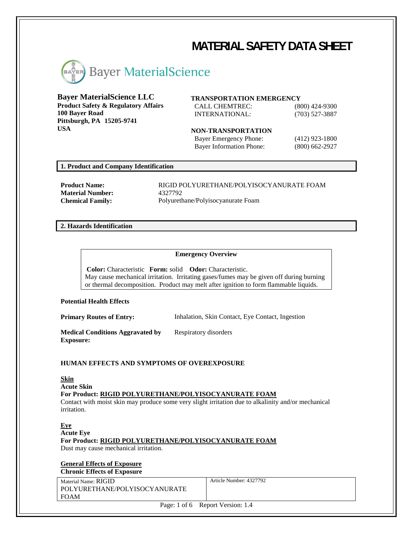# **MATERIAL SAFETY DATA SHEET**



# **Bayer MaterialScience LLC**

**Product Safety & Regulatory Affairs 100 Bayer Road Pittsburgh, PA 15205-9741 USA**

# **TRANSPORTATION EMERGENCY**

CALL CHEMTREC: (800) 424-9300 INTERNATIONAL: (703) 527-3887

**NON-TRANSPORTATION** Bayer Emergency Phone: (412) 923-1800

Bayer Information Phone: (800) 662-2927

# **1. Product and Company Identification**

**Material Number:** 4327792

**Product Name:** RIGID POLYURETHANE/POLYISOCYANURATE FOAM **Chemical Family:** Polyurethane/Polyisocyanurate Foam

## **2. Hazards Identification**

#### **Emergency Overview**

**Color:** Characteristic **Form:** solid **Odor:** Characteristic. May cause mechanical irritation. Irritating gases/fumes may be given off during burning or thermal decomposition. Product may melt after ignition to form flammable liquids.

#### **Potential Health Effects**

**Primary Routes of Entry:** Inhalation, Skin Contact, Eye Contact, Ingestion

**Medical Conditions Aggravated by Exposure:** Respiratory disorders

## **HUMAN EFFECTS AND SYMPTOMS OF OVEREXPOSURE**

**Skin Acute Skin For Product: RIGID POLYURETHANE/POLYISOCYANURATE FOAM** Contact with moist skin may produce some very slight irritation due to alkalinity and/or mechanical irritation.

#### **Eye**

**Acute Eye For Product: RIGID POLYURETHANE/POLYISOCYANURATE FOAM** Dust may cause mechanical irritation.

## **General Effects of Exposure Chronic Effects of Exposure**

Material Name: RIGID POLYURETHANE/POLYISOCYANURATE FOAM

Article Number: 4327792

Page: 1 of 6 Report Version: 1.4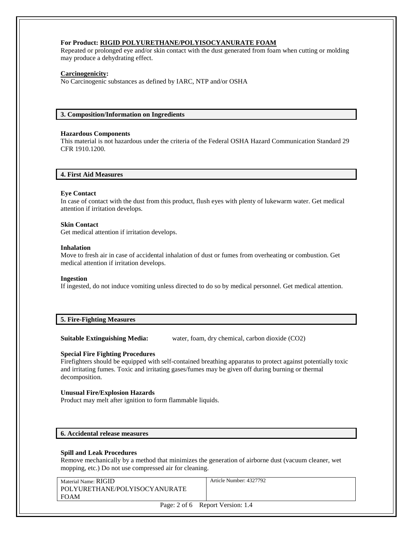# **For Product: RIGID POLYURETHANE/POLYISOCYANURATE FOAM**

Repeated or prolonged eye and/or skin contact with the dust generated from foam when cutting or molding may produce a dehydrating effect.

## **Carcinogenicity:**

No Carcinogenic substances as defined by IARC, NTP and/or OSHA

#### **3. Composition/Information on Ingredients**

#### **Hazardous Components**

This material is not hazardous under the criteria of the Federal OSHA Hazard Communication Standard 29 CFR 1910.1200.

# **4. First Aid Measures**

#### **Eye Contact**

In case of contact with the dust from this product, flush eyes with plenty of lukewarm water. Get medical attention if irritation develops.

#### **Skin Contact**

Get medical attention if irritation develops.

#### **Inhalation**

Move to fresh air in case of accidental inhalation of dust or fumes from overheating or combustion. Get medical attention if irritation develops.

#### **Ingestion**

If ingested, do not induce vomiting unless directed to do so by medical personnel. Get medical attention.

# **5. Fire-Fighting Measures**

**Suitable Extinguishing Media:** water, foam, dry chemical, carbon dioxide (CO2)

#### **Special Fire Fighting Procedures**

Firefighters should be equipped with self-contained breathing apparatus to protect against potentially toxic and irritating fumes. Toxic and irritating gases/fumes may be given off during burning or thermal decomposition.

#### **Unusual Fire/Explosion Hazards**

Product may melt after ignition to form flammable liquids.

#### **6. Accidental release measures**

#### **Spill and Leak Procedures**

Remove mechanically by a method that minimizes the generation of airborne dust (vacuum cleaner, wet mopping, etc.) Do not use compressed air for cleaning.

| Material Name: RIGID          |  |
|-------------------------------|--|
| POLYURETHANE/POLYISOCYANURATE |  |
| <b>FOAM</b>                   |  |

Article Number: 4327792

Page: 2 of 6 Report Version: 1.4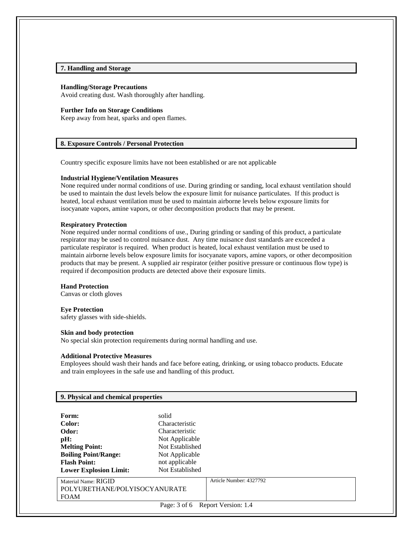# **7. Handling and Storage**

#### **Handling/Storage Precautions**

Avoid creating dust. Wash thoroughly after handling.

#### **Further Info on Storage Conditions**

Keep away from heat, sparks and open flames.

#### **8. Exposure Controls / Personal Protection**

Country specific exposure limits have not been established or are not applicable

#### **Industrial Hygiene/Ventilation Measures**

None required under normal conditions of use. During grinding or sanding, local exhaust ventilation should be used to maintain the dust levels below the exposure limit for nuisance particulates. If this product is heated, local exhaust ventilation must be used to maintain airborne levels below exposure limits for isocyanate vapors, amine vapors, or other decomposition products that may be present.

#### **Respiratory Protection**

None required under normal conditions of use., During grinding or sanding of this product, a particulate respirator may be used to control nuisance dust. Any time nuisance dust standards are exceeded a particulate respirator is required. When product is heated, local exhaust ventilation must be used to maintain airborne levels below exposure limits for isocyanate vapors, amine vapors, or other decomposition products that may be present. A supplied air respirator (either positive pressure or continuous flow type) is required if decomposition products are detected above their exposure limits.

#### **Hand Protection**

Canvas or cloth gloves

#### **Eye Protection**

safety glasses with side-shields.

#### **Skin and body protection**

No special skin protection requirements during normal handling and use.

#### **Additional Protective Measures**

Employees should wash their hands and face before eating, drinking, or using tobacco products. Educate and train employees in the safe use and handling of this product.

| 9. Physical and chemical properties   |                 |                         |
|---------------------------------------|-----------------|-------------------------|
|                                       |                 |                         |
| Form:                                 | solid           |                         |
| Color:                                | Characteristic  |                         |
| Odor:                                 | Characteristic  |                         |
| pH:                                   | Not Applicable  |                         |
| <b>Melting Point:</b>                 | Not Established |                         |
| <b>Boiling Point/Range:</b>           | Not Applicable  |                         |
| <b>Flash Point:</b>                   | not applicable  |                         |
| <b>Lower Explosion Limit:</b>         | Not Established |                         |
| Material Name: RIGID                  |                 | Article Number: 4327792 |
| POLYURETHANE/POLYISOCYANURATE         |                 |                         |
| <b>FOAM</b>                           |                 |                         |
| Page: $3$ of 6<br>Report Version: 1.4 |                 |                         |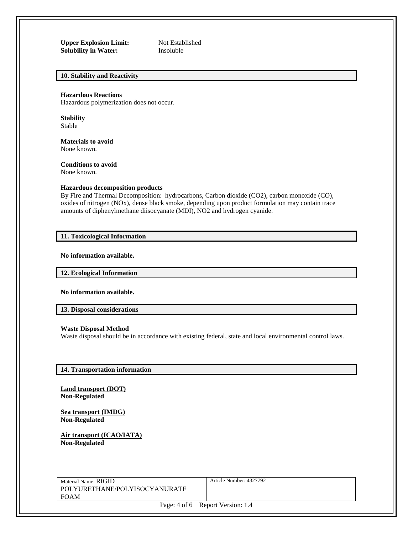**Upper Explosion Limit:** Not Established<br> **Solubility in Water:** Insoluble **Solubility in Water:** 

# **10. Stability and Reactivity**

#### **Hazardous Reactions**

Hazardous polymerization does not occur.

**Stability** Stable

**Materials to avoid** None known.

**Conditions to avoid**

None known.

## **Hazardous decomposition products**

By Fire and Thermal Decomposition: hydrocarbons, Carbon dioxide (CO2), carbon monoxide (CO), oxides of nitrogen (NOx), dense black smoke, depending upon product formulation may contain trace amounts of diphenylmethane diisocyanate (MDI), NO2 and hydrogen cyanide.

#### **11. Toxicological Information**

**No information available.**

**12. Ecological Information** 

**No information available.**

**13. Disposal considerations** 

#### **Waste Disposal Method**

Waste disposal should be in accordance with existing federal, state and local environmental control laws.

#### **14. Transportation information**

**Land transport (DOT) Non-Regulated**

**Sea transport (IMDG) Non-Regulated**

**Air transport (ICAO/IATA) Non-Regulated**

Material Name: RIGID POLYURETHANE/POLYISOCYANURATE FOAM

Article Number: 4327792

Page: 4 of 6 Report Version: 1.4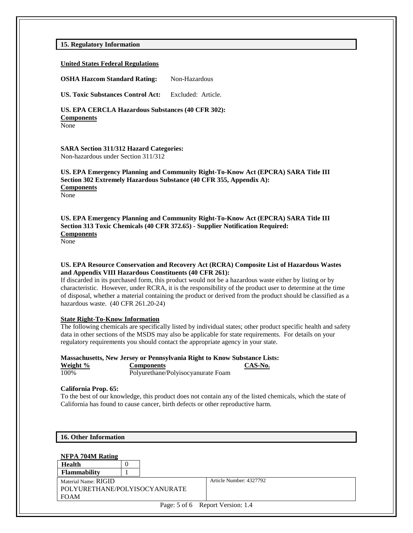**15. Regulatory Information** 

#### **United States Federal Regulations**

**OSHA Hazcom Standard Rating:** Non-Hazardous

**US. Toxic Substances Control Act:** Excluded: Article.

**US. EPA CERCLA Hazardous Substances (40 CFR 302): Components** None

#### **SARA Section 311/312 Hazard Categories:** Non-hazardous under Section 311/312

## **US. EPA Emergency Planning and Community Right-To-Know Act (EPCRA) SARA Title III Section 302 Extremely Hazardous Substance (40 CFR 355, Appendix A): Components** None

**US. EPA Emergency Planning and Community Right-To-Know Act (EPCRA) SARA Title III Section 313 Toxic Chemicals (40 CFR 372.65) - Supplier Notification Required: Components**

None

#### **US. EPA Resource Conservation and Recovery Act (RCRA) Composite List of Hazardous Wastes and Appendix VIII Hazardous Constituents (40 CFR 261):**

If discarded in its purchased form, this product would not be a hazardous waste either by listing or by characteristic. However, under RCRA, it is the responsibility of the product user to determine at the time of disposal, whether a material containing the product or derived from the product should be classified as a hazardous waste. (40 CFR 261.20-24)

#### **State Right-To-Know Information**

The following chemicals are specifically listed by individual states; other product specific health and safety data in other sections of the MSDS may also be applicable for state requirements. For details on your regulatory requirements you should contact the appropriate agency in your state.

# **Massachusetts, New Jersey or Pennsylvania Right to Know Substance Lists:**

**Weight % Components CAS-No.** 100% Polyurethane/Polyisocyanurate Foam

#### **California Prop. 65:**

To the best of our knowledge, this product does not contain any of the listed chemicals, which the state of California has found to cause cancer, birth defects or other reproductive harm.

|  | 16. Other Information |
|--|-----------------------|
|--|-----------------------|

| NFPA 704M Rating                 |  |  |                         |  |
|----------------------------------|--|--|-------------------------|--|
| Health                           |  |  |                         |  |
| <b>Flammability</b>              |  |  |                         |  |
| Material Name: RIGID             |  |  | Article Number: 4327792 |  |
| POLYURETHANE/POLYISOCYANURATE    |  |  |                         |  |
| <b>FOAM</b>                      |  |  |                         |  |
| Page: 5 of 6 Report Version: 1.4 |  |  |                         |  |